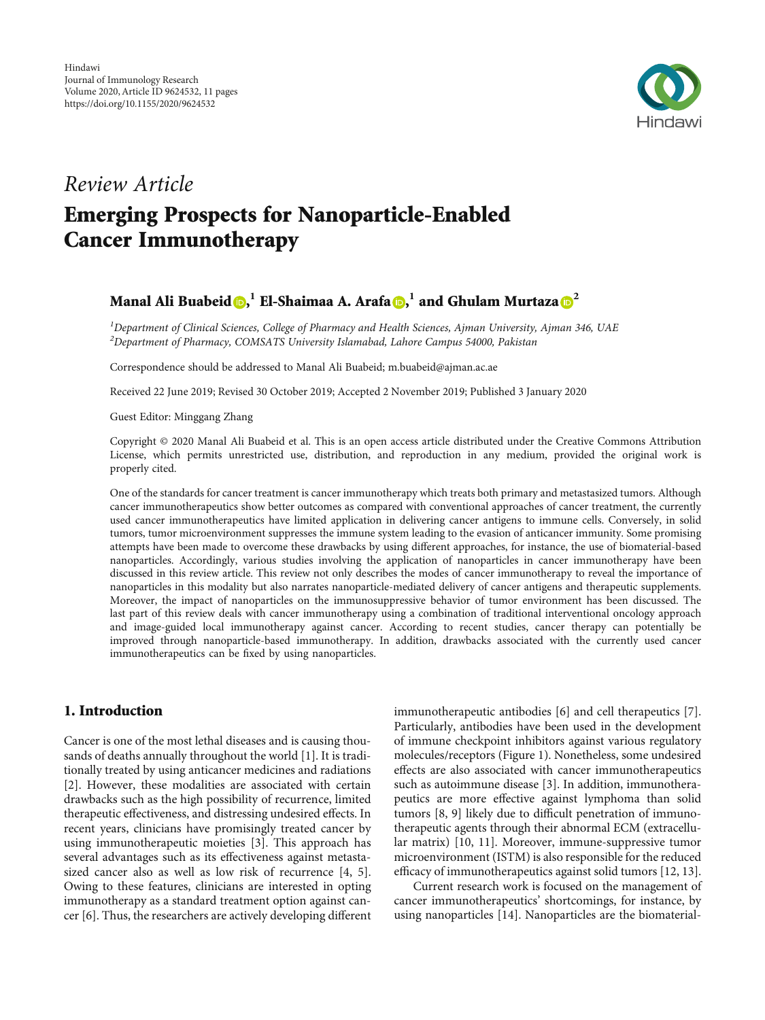

# Review Article Emerging Prospects for Nanoparticle-Enabled Cancer Immunotherapy

# Manal Ali Buabeid **D,**  $^1$  **El-Shaimaa A. Arafa D,**  $^1$  **and Ghulam Murtaza D**  $^2$  $^2$

<sup>1</sup>Department of Clinical Sciences, College of Pharmacy and Health Sciences, Ajman University, Ajman 346, UAE  $^{2}$ Department of Pharmacy, COMSATS University Islamabad, Lahore Campus 54000, Pakistan

Correspondence should be addressed to Manal Ali Buabeid; m.buabeid@ajman.ac.ae

Received 22 June 2019; Revised 30 October 2019; Accepted 2 November 2019; Published 3 January 2020

Guest Editor: Minggang Zhang

Copyright © 2020 Manal Ali Buabeid et al. This is an open access article distributed under the [Creative Commons Attribution](https://creativecommons.org/licenses/by/4.0/) [License,](https://creativecommons.org/licenses/by/4.0/) which permits unrestricted use, distribution, and reproduction in any medium, provided the original work is properly cited.

One of the standards for cancer treatment is cancer immunotherapy which treats both primary and metastasized tumors. Although cancer immunotherapeutics show better outcomes as compared with conventional approaches of cancer treatment, the currently used cancer immunotherapeutics have limited application in delivering cancer antigens to immune cells. Conversely, in solid tumors, tumor microenvironment suppresses the immune system leading to the evasion of anticancer immunity. Some promising attempts have been made to overcome these drawbacks by using different approaches, for instance, the use of biomaterial-based nanoparticles. Accordingly, various studies involving the application of nanoparticles in cancer immunotherapy have been discussed in this review article. This review not only describes the modes of cancer immunotherapy to reveal the importance of nanoparticles in this modality but also narrates nanoparticle-mediated delivery of cancer antigens and therapeutic supplements. Moreover, the impact of nanoparticles on the immunosuppressive behavior of tumor environment has been discussed. The last part of this review deals with cancer immunotherapy using a combination of traditional interventional oncology approach and image-guided local immunotherapy against cancer. According to recent studies, cancer therapy can potentially be improved through nanoparticle-based immunotherapy. In addition, drawbacks associated with the currently used cancer immunotherapeutics can be fixed by using nanoparticles.

#### 1. Introduction

Cancer is one of the most lethal diseases and is causing thousands of deaths annually throughout the world [\[1](#page-7-0)]. It is traditionally treated by using anticancer medicines and radiations [\[2](#page-7-0)]. However, these modalities are associated with certain drawbacks such as the high possibility of recurrence, limited therapeutic effectiveness, and distressing undesired effects. In recent years, clinicians have promisingly treated cancer by using immunotherapeutic moieties [[3\]](#page-7-0). This approach has several advantages such as its effectiveness against metastasized cancer also as well as low risk of recurrence [\[4](#page-7-0), [5](#page-7-0)]. Owing to these features, clinicians are interested in opting immunotherapy as a standard treatment option against cancer [\[6](#page-7-0)]. Thus, the researchers are actively developing different immunotherapeutic antibodies [[6\]](#page-7-0) and cell therapeutics [[7](#page-7-0)]. Particularly, antibodies have been used in the development of immune checkpoint inhibitors against various regulatory molecules/receptors (Figure [1\)](#page-1-0). Nonetheless, some undesired effects are also associated with cancer immunotherapeutics such as autoimmune disease [[3](#page-7-0)]. In addition, immunotherapeutics are more effective against lymphoma than solid tumors [\[8, 9\]](#page-7-0) likely due to difficult penetration of immunotherapeutic agents through their abnormal ECM (extracellular matrix) [[10](#page-7-0), [11\]](#page-7-0). Moreover, immune-suppressive tumor microenvironment (ISTM) is also responsible for the reduced efficacy of immunotherapeutics against solid tumors [[12, 13](#page-7-0)].

Current research work is focused on the management of cancer immunotherapeutics' shortcomings, for instance, by using nanoparticles [[14](#page-7-0)]. Nanoparticles are the biomaterial-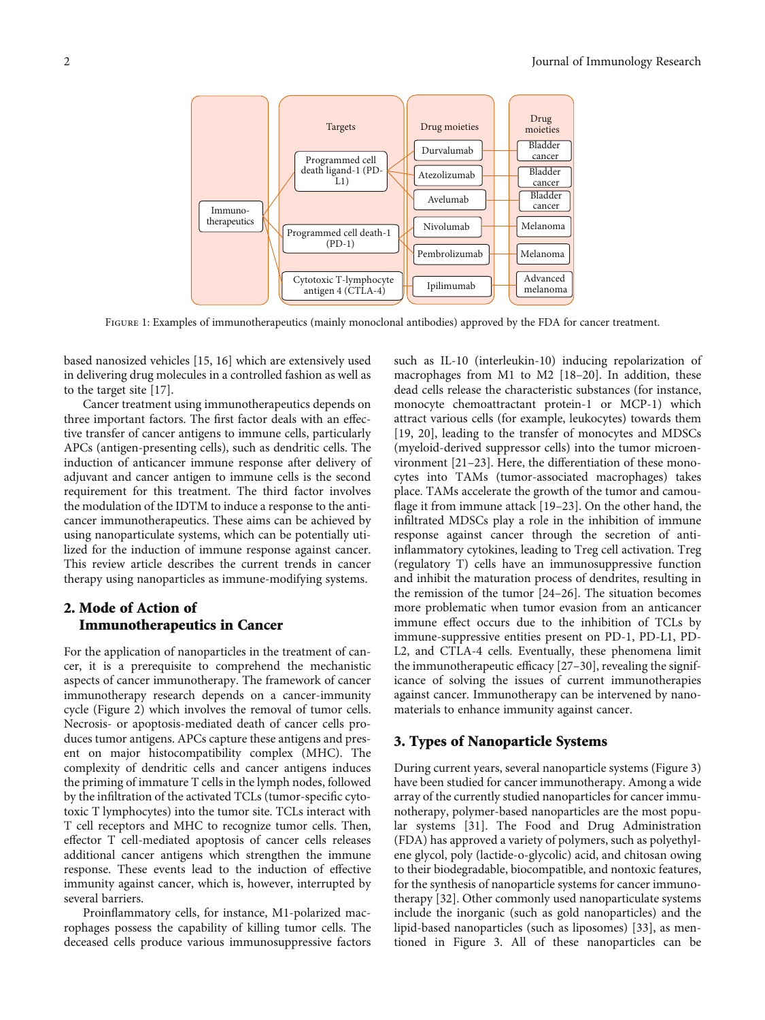<span id="page-1-0"></span>

FIGURE 1: Examples of immunotherapeutics (mainly monoclonal antibodies) approved by the FDA for cancer treatment.

based nanosized vehicles [[15, 16\]](#page-7-0) which are extensively used in delivering drug molecules in a controlled fashion as well as to the target site [\[17\]](#page-7-0).

Cancer treatment using immunotherapeutics depends on three important factors. The first factor deals with an effective transfer of cancer antigens to immune cells, particularly APCs (antigen-presenting cells), such as dendritic cells. The induction of anticancer immune response after delivery of adjuvant and cancer antigen to immune cells is the second requirement for this treatment. The third factor involves the modulation of the IDTM to induce a response to the anticancer immunotherapeutics. These aims can be achieved by using nanoparticulate systems, which can be potentially utilized for the induction of immune response against cancer. This review article describes the current trends in cancer therapy using nanoparticles as immune-modifying systems.

# 2. Mode of Action of Immunotherapeutics in Cancer

For the application of nanoparticles in the treatment of cancer, it is a prerequisite to comprehend the mechanistic aspects of cancer immunotherapy. The framework of cancer immunotherapy research depends on a cancer-immunity cycle (Figure [2](#page-2-0)) which involves the removal of tumor cells. Necrosis- or apoptosis-mediated death of cancer cells produces tumor antigens. APCs capture these antigens and present on major histocompatibility complex (MHC). The complexity of dendritic cells and cancer antigens induces the priming of immature T cells in the lymph nodes, followed by the infiltration of the activated TCLs (tumor-specific cytotoxic T lymphocytes) into the tumor site. TCLs interact with T cell receptors and MHC to recognize tumor cells. Then, effector T cell-mediated apoptosis of cancer cells releases additional cancer antigens which strengthen the immune response. These events lead to the induction of effective immunity against cancer, which is, however, interrupted by several barriers.

Proinflammatory cells, for instance, M1-polarized macrophages possess the capability of killing tumor cells. The deceased cells produce various immunosuppressive factors such as IL-10 (interleukin-10) inducing repolarization of macrophages from M1 to M2 [\[18](#page-7-0)–[20](#page-7-0)]. In addition, these dead cells release the characteristic substances (for instance, monocyte chemoattractant protein-1 or MCP-1) which attract various cells (for example, leukocytes) towards them [\[19, 20](#page-7-0)], leading to the transfer of monocytes and MDSCs (myeloid-derived suppressor cells) into the tumor microenvironment [\[21](#page-8-0)–[23](#page-8-0)]. Here, the differentiation of these monocytes into TAMs (tumor-associated macrophages) takes place. TAMs accelerate the growth of the tumor and camouflage it from immune attack [\[19](#page-7-0)–[23](#page-8-0)]. On the other hand, the infiltrated MDSCs play a role in the inhibition of immune response against cancer through the secretion of antiinflammatory cytokines, leading to Treg cell activation. Treg (regulatory T) cells have an immunosuppressive function and inhibit the maturation process of dendrites, resulting in the remission of the tumor [\[24](#page-8-0)–[26\]](#page-8-0). The situation becomes more problematic when tumor evasion from an anticancer immune effect occurs due to the inhibition of TCLs by immune-suppressive entities present on PD-1, PD-L1, PD-L2, and CTLA-4 cells. Eventually, these phenomena limit the immunotherapeutic efficacy [[27](#page-8-0)–[30](#page-8-0)], revealing the significance of solving the issues of current immunotherapies against cancer. Immunotherapy can be intervened by nanomaterials to enhance immunity against cancer.

#### 3. Types of Nanoparticle Systems

During current years, several nanoparticle systems (Figure [3\)](#page-2-0) have been studied for cancer immunotherapy. Among a wide array of the currently studied nanoparticles for cancer immunotherapy, polymer-based nanoparticles are the most popular systems [\[31\]](#page-8-0). The Food and Drug Administration (FDA) has approved a variety of polymers, such as polyethylene glycol, poly (lactide-o-glycolic) acid, and chitosan owing to their biodegradable, biocompatible, and nontoxic features, for the synthesis of nanoparticle systems for cancer immunotherapy [\[32\]](#page-8-0). Other commonly used nanoparticulate systems include the inorganic (such as gold nanoparticles) and the lipid-based nanoparticles (such as liposomes) [\[33\]](#page-8-0), as mentioned in Figure [3](#page-2-0). All of these nanoparticles can be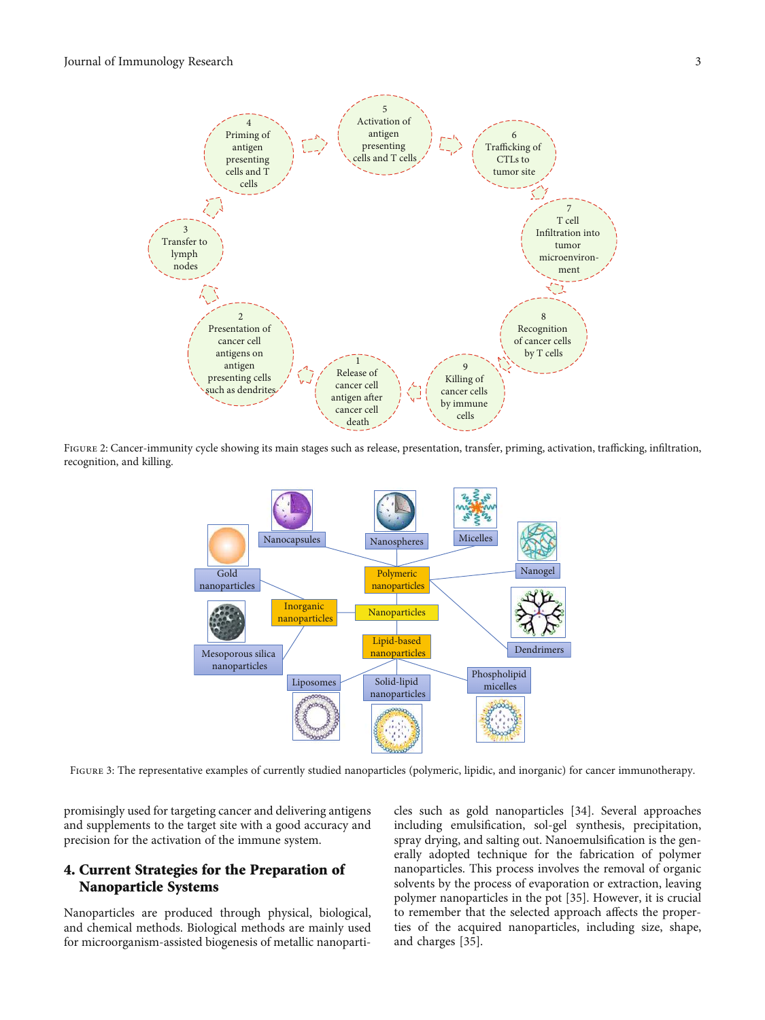<span id="page-2-0"></span>

FIGURE 2: Cancer-immunity cycle showing its main stages such as release, presentation, transfer, priming, activation, trafficking, infiltration, recognition, and killing.



FIGURE 3: The representative examples of currently studied nanoparticles (polymeric, lipidic, and inorganic) for cancer immunotherapy.

promisingly used for targeting cancer and delivering antigens and supplements to the target site with a good accuracy and precision for the activation of the immune system.

## 4. Current Strategies for the Preparation of Nanoparticle Systems

Nanoparticles are produced through physical, biological, and chemical methods. Biological methods are mainly used for microorganism-assisted biogenesis of metallic nanoparti-

cles such as gold nanoparticles [[34](#page-8-0)]. Several approaches including emulsification, sol-gel synthesis, precipitation, spray drying, and salting out. Nanoemulsification is the generally adopted technique for the fabrication of polymer nanoparticles. This process involves the removal of organic solvents by the process of evaporation or extraction, leaving polymer nanoparticles in the pot [[35\]](#page-8-0). However, it is crucial to remember that the selected approach affects the properties of the acquired nanoparticles, including size, shape, and charges [[35](#page-8-0)].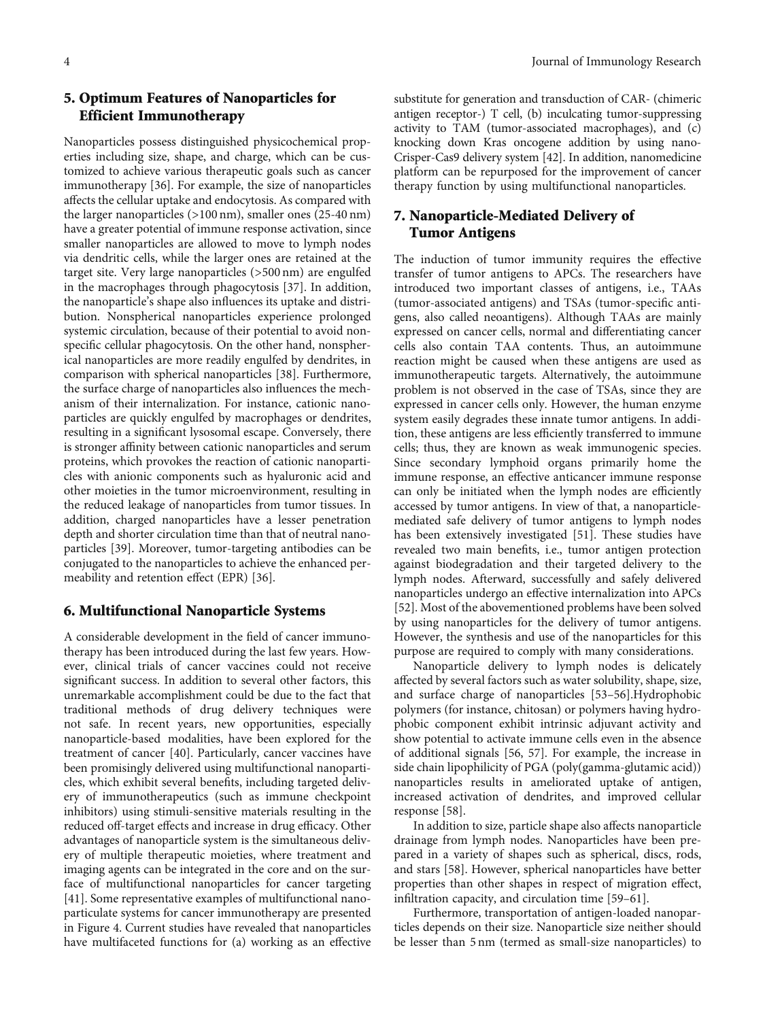# 5. Optimum Features of Nanoparticles for Efficient Immunotherapy

Nanoparticles possess distinguished physicochemical properties including size, shape, and charge, which can be customized to achieve various therapeutic goals such as cancer immunotherapy [\[36\]](#page-8-0). For example, the size of nanoparticles affects the cellular uptake and endocytosis. As compared with the larger nanoparticles (>100 nm), smaller ones (25-40 nm) have a greater potential of immune response activation, since smaller nanoparticles are allowed to move to lymph nodes via dendritic cells, while the larger ones are retained at the target site. Very large nanoparticles (>500 nm) are engulfed in the macrophages through phagocytosis [\[37\]](#page-8-0). In addition, the nanoparticle's shape also influences its uptake and distribution. Nonspherical nanoparticles experience prolonged systemic circulation, because of their potential to avoid nonspecific cellular phagocytosis. On the other hand, nonspherical nanoparticles are more readily engulfed by dendrites, in comparison with spherical nanoparticles [\[38](#page-8-0)]. Furthermore, the surface charge of nanoparticles also influences the mechanism of their internalization. For instance, cationic nanoparticles are quickly engulfed by macrophages or dendrites, resulting in a significant lysosomal escape. Conversely, there is stronger affinity between cationic nanoparticles and serum proteins, which provokes the reaction of cationic nanoparticles with anionic components such as hyaluronic acid and other moieties in the tumor microenvironment, resulting in the reduced leakage of nanoparticles from tumor tissues. In addition, charged nanoparticles have a lesser penetration depth and shorter circulation time than that of neutral nanoparticles [\[39\]](#page-8-0). Moreover, tumor-targeting antibodies can be conjugated to the nanoparticles to achieve the enhanced permeability and retention effect (EPR) [[36](#page-8-0)].

## 6. Multifunctional Nanoparticle Systems

A considerable development in the field of cancer immunotherapy has been introduced during the last few years. However, clinical trials of cancer vaccines could not receive significant success. In addition to several other factors, this unremarkable accomplishment could be due to the fact that traditional methods of drug delivery techniques were not safe. In recent years, new opportunities, especially nanoparticle-based modalities, have been explored for the treatment of cancer [\[40\]](#page-8-0). Particularly, cancer vaccines have been promisingly delivered using multifunctional nanoparticles, which exhibit several benefits, including targeted delivery of immunotherapeutics (such as immune checkpoint inhibitors) using stimuli-sensitive materials resulting in the reduced off-target effects and increase in drug efficacy. Other advantages of nanoparticle system is the simultaneous delivery of multiple therapeutic moieties, where treatment and imaging agents can be integrated in the core and on the surface of multifunctional nanoparticles for cancer targeting [\[41](#page-8-0)]. Some representative examples of multifunctional nanoparticulate systems for cancer immunotherapy are presented in Figure [4](#page-4-0). Current studies have revealed that nanoparticles have multifaceted functions for (a) working as an effective

substitute for generation and transduction of CAR- (chimeric antigen receptor-) T cell, (b) inculcating tumor-suppressing activity to TAM (tumor-associated macrophages), and (c) knocking down Kras oncogene addition by using nano-Crisper-Cas9 delivery system [[42\]](#page-8-0). In addition, nanomedicine platform can be repurposed for the improvement of cancer therapy function by using multifunctional nanoparticles.

# 7. Nanoparticle-Mediated Delivery of Tumor Antigens

The induction of tumor immunity requires the effective transfer of tumor antigens to APCs. The researchers have introduced two important classes of antigens, i.e., TAAs (tumor-associated antigens) and TSAs (tumor-specific antigens, also called neoantigens). Although TAAs are mainly expressed on cancer cells, normal and differentiating cancer cells also contain TAA contents. Thus, an autoimmune reaction might be caused when these antigens are used as immunotherapeutic targets. Alternatively, the autoimmune problem is not observed in the case of TSAs, since they are expressed in cancer cells only. However, the human enzyme system easily degrades these innate tumor antigens. In addition, these antigens are less efficiently transferred to immune cells; thus, they are known as weak immunogenic species. Since secondary lymphoid organs primarily home the immune response, an effective anticancer immune response can only be initiated when the lymph nodes are efficiently accessed by tumor antigens. In view of that, a nanoparticlemediated safe delivery of tumor antigens to lymph nodes has been extensively investigated [[51](#page-9-0)]. These studies have revealed two main benefits, i.e., tumor antigen protection against biodegradation and their targeted delivery to the lymph nodes. Afterward, successfully and safely delivered nanoparticles undergo an effective internalization into APCs [\[52](#page-9-0)]. Most of the abovementioned problems have been solved by using nanoparticles for the delivery of tumor antigens. However, the synthesis and use of the nanoparticles for this purpose are required to comply with many considerations.

Nanoparticle delivery to lymph nodes is delicately affected by several factors such as water solubility, shape, size, and surface charge of nanoparticles [[53](#page-9-0)–[56\]](#page-9-0).Hydrophobic polymers (for instance, chitosan) or polymers having hydrophobic component exhibit intrinsic adjuvant activity and show potential to activate immune cells even in the absence of additional signals [[56](#page-9-0), [57\]](#page-9-0). For example, the increase in side chain lipophilicity of PGA (poly(gamma-glutamic acid)) nanoparticles results in ameliorated uptake of antigen, increased activation of dendrites, and improved cellular response [\[58\]](#page-9-0).

In addition to size, particle shape also affects nanoparticle drainage from lymph nodes. Nanoparticles have been prepared in a variety of shapes such as spherical, discs, rods, and stars [[58](#page-9-0)]. However, spherical nanoparticles have better properties than other shapes in respect of migration effect, infiltration capacity, and circulation time [\[59](#page-9-0)–[61\]](#page-9-0).

Furthermore, transportation of antigen-loaded nanoparticles depends on their size. Nanoparticle size neither should be lesser than 5 nm (termed as small-size nanoparticles) to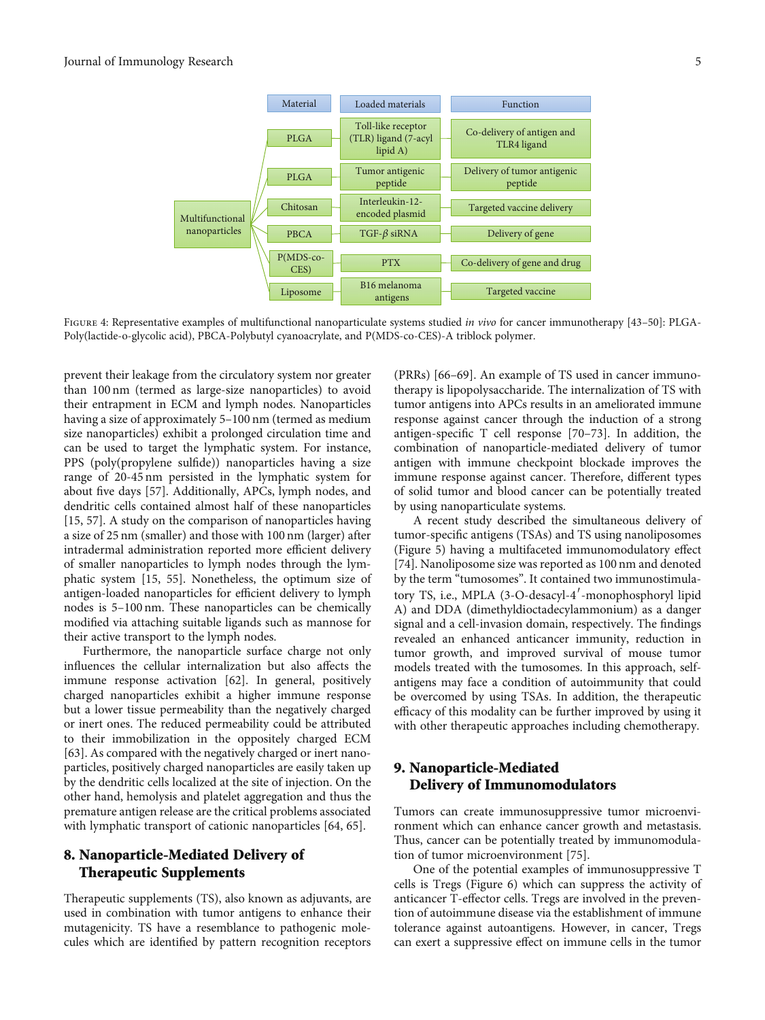<span id="page-4-0"></span>

FIGURE 4: Representative examples of multifunctional nanoparticulate systems studied in vivo for cancer immunotherapy [[43](#page-8-0)-[50\]](#page-8-0): PLGA-Poly(lactide-o-glycolic acid), PBCA-Polybutyl cyanoacrylate, and P(MDS-co-CES)-A triblock polymer.

prevent their leakage from the circulatory system nor greater than 100 nm (termed as large-size nanoparticles) to avoid their entrapment in ECM and lymph nodes. Nanoparticles having a size of approximately 5–100 nm (termed as medium size nanoparticles) exhibit a prolonged circulation time and can be used to target the lymphatic system. For instance, PPS (poly(propylene sulfide)) nanoparticles having a size range of 20-45 nm persisted in the lymphatic system for about five days [\[57\]](#page-9-0). Additionally, APCs, lymph nodes, and dendritic cells contained almost half of these nanoparticles [\[15](#page-7-0), [57](#page-9-0)]. A study on the comparison of nanoparticles having a size of 25 nm (smaller) and those with 100 nm (larger) after intradermal administration reported more efficient delivery of smaller nanoparticles to lymph nodes through the lymphatic system [\[15,](#page-7-0) [55](#page-9-0)]. Nonetheless, the optimum size of antigen-loaded nanoparticles for efficient delivery to lymph nodes is 5–100 nm. These nanoparticles can be chemically modified via attaching suitable ligands such as mannose for their active transport to the lymph nodes.

Furthermore, the nanoparticle surface charge not only influences the cellular internalization but also affects the immune response activation [[62](#page-9-0)]. In general, positively charged nanoparticles exhibit a higher immune response but a lower tissue permeability than the negatively charged or inert ones. The reduced permeability could be attributed to their immobilization in the oppositely charged ECM [\[63](#page-9-0)]. As compared with the negatively charged or inert nanoparticles, positively charged nanoparticles are easily taken up by the dendritic cells localized at the site of injection. On the other hand, hemolysis and platelet aggregation and thus the premature antigen release are the critical problems associated with lymphatic transport of cationic nanoparticles [\[64, 65](#page-9-0)].

# 8. Nanoparticle-Mediated Delivery of Therapeutic Supplements

Therapeutic supplements (TS), also known as adjuvants, are used in combination with tumor antigens to enhance their mutagenicity. TS have a resemblance to pathogenic molecules which are identified by pattern recognition receptors (PRRs) [[66](#page-9-0)–[69\]](#page-9-0). An example of TS used in cancer immunotherapy is lipopolysaccharide. The internalization of TS with tumor antigens into APCs results in an ameliorated immune response against cancer through the induction of a strong antigen-specific T cell response [[70](#page-9-0)–[73\]](#page-9-0). In addition, the combination of nanoparticle-mediated delivery of tumor antigen with immune checkpoint blockade improves the immune response against cancer. Therefore, different types of solid tumor and blood cancer can be potentially treated by using nanoparticulate systems.

A recent study described the simultaneous delivery of tumor-specific antigens (TSAs) and TS using nanoliposomes (Figure [5](#page-5-0)) having a multifaceted immunomodulatory effect [\[74](#page-9-0)]. Nanoliposome size was reported as 100 nm and denoted by the term "tumosomes". It contained two immunostimulatory TS, i.e., MPLA (3-O-desacyl-4′-monophosphoryl lipid A) and DDA (dimethyldioctadecylammonium) as a danger signal and a cell-invasion domain, respectively. The findings revealed an enhanced anticancer immunity, reduction in tumor growth, and improved survival of mouse tumor models treated with the tumosomes. In this approach, selfantigens may face a condition of autoimmunity that could be overcomed by using TSAs. In addition, the therapeutic efficacy of this modality can be further improved by using it with other therapeutic approaches including chemotherapy.

# 9. Nanoparticle-Mediated Delivery of Immunomodulators

Tumors can create immunosuppressive tumor microenvironment which can enhance cancer growth and metastasis. Thus, cancer can be potentially treated by immunomodulation of tumor microenvironment [\[75](#page-9-0)].

One of the potential examples of immunosuppressive T cells is Tregs (Figure [6\)](#page-5-0) which can suppress the activity of anticancer T-effector cells. Tregs are involved in the prevention of autoimmune disease via the establishment of immune tolerance against autoantigens. However, in cancer, Tregs can exert a suppressive effect on immune cells in the tumor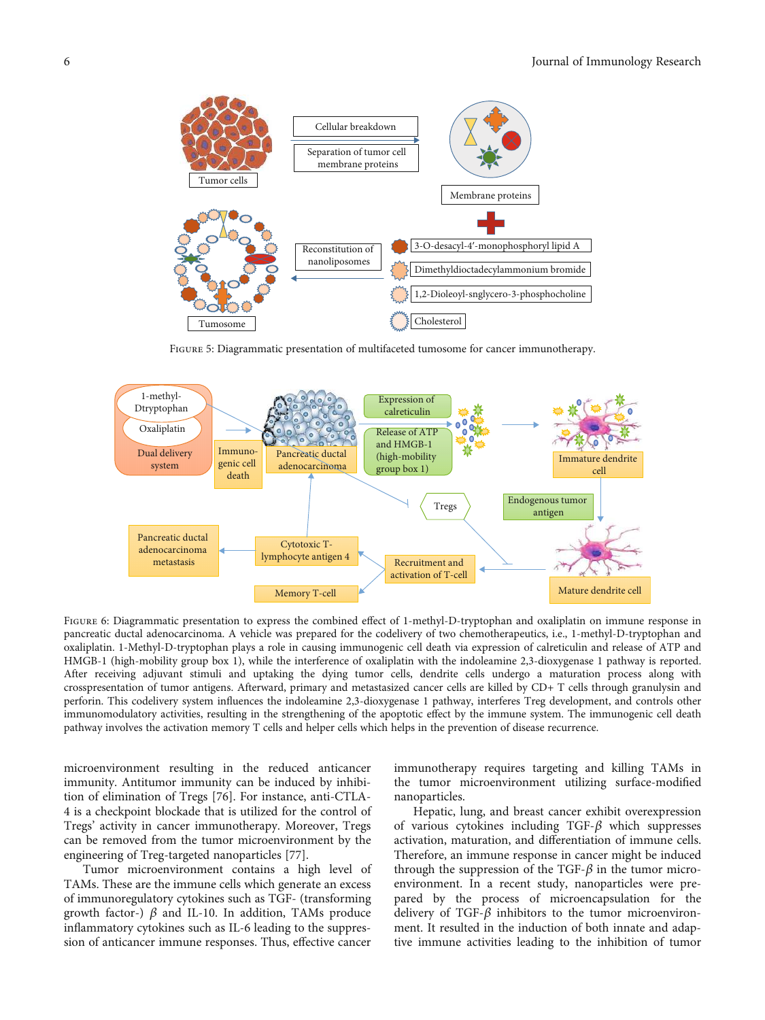<span id="page-5-0"></span>

Figure 5: Diagrammatic presentation of multifaceted tumosome for cancer immunotherapy.



FIGURE 6: Diagrammatic presentation to express the combined effect of 1-methyl-D-tryptophan and oxaliplatin on immune response in pancreatic ductal adenocarcinoma. A vehicle was prepared for the codelivery of two chemotherapeutics, i.e., 1-methyl-D-tryptophan and oxaliplatin. 1-Methyl-D-tryptophan plays a role in causing immunogenic cell death via expression of calreticulin and release of ATP and HMGB-1 (high-mobility group box 1), while the interference of oxaliplatin with the indoleamine 2,3-dioxygenase 1 pathway is reported. After receiving adjuvant stimuli and uptaking the dying tumor cells, dendrite cells undergo a maturation process along with crosspresentation of tumor antigens. Afterward, primary and metastasized cancer cells are killed by CD+ T cells through granulysin and perforin. This codelivery system influences the indoleamine 2,3-dioxygenase 1 pathway, interferes Treg development, and controls other immunomodulatory activities, resulting in the strengthening of the apoptotic effect by the immune system. The immunogenic cell death pathway involves the activation memory T cells and helper cells which helps in the prevention of disease recurrence.

microenvironment resulting in the reduced anticancer immunity. Antitumor immunity can be induced by inhibition of elimination of Tregs [[76](#page-9-0)]. For instance, anti-CTLA-4 is a checkpoint blockade that is utilized for the control of Tregs' activity in cancer immunotherapy. Moreover, Tregs can be removed from the tumor microenvironment by the engineering of Treg-targeted nanoparticles [[77](#page-9-0)].

Tumor microenvironment contains a high level of TAMs. These are the immune cells which generate an excess of immunoregulatory cytokines such as TGF- (transforming growth factor-)  $β$  and IL-10. In addition, TAMs produce inflammatory cytokines such as IL-6 leading to the suppression of anticancer immune responses. Thus, effective cancer

immunotherapy requires targeting and killing TAMs in the tumor microenvironment utilizing surface-modified nanoparticles.

Hepatic, lung, and breast cancer exhibit overexpression of various cytokines including TGF-*β* which suppresses activation, maturation, and differentiation of immune cells. Therefore, an immune response in cancer might be induced through the suppression of the TGF- $\beta$  in the tumor microenvironment. In a recent study, nanoparticles were prepared by the process of microencapsulation for the delivery of TGF-*β* inhibitors to the tumor microenvironment. It resulted in the induction of both innate and adaptive immune activities leading to the inhibition of tumor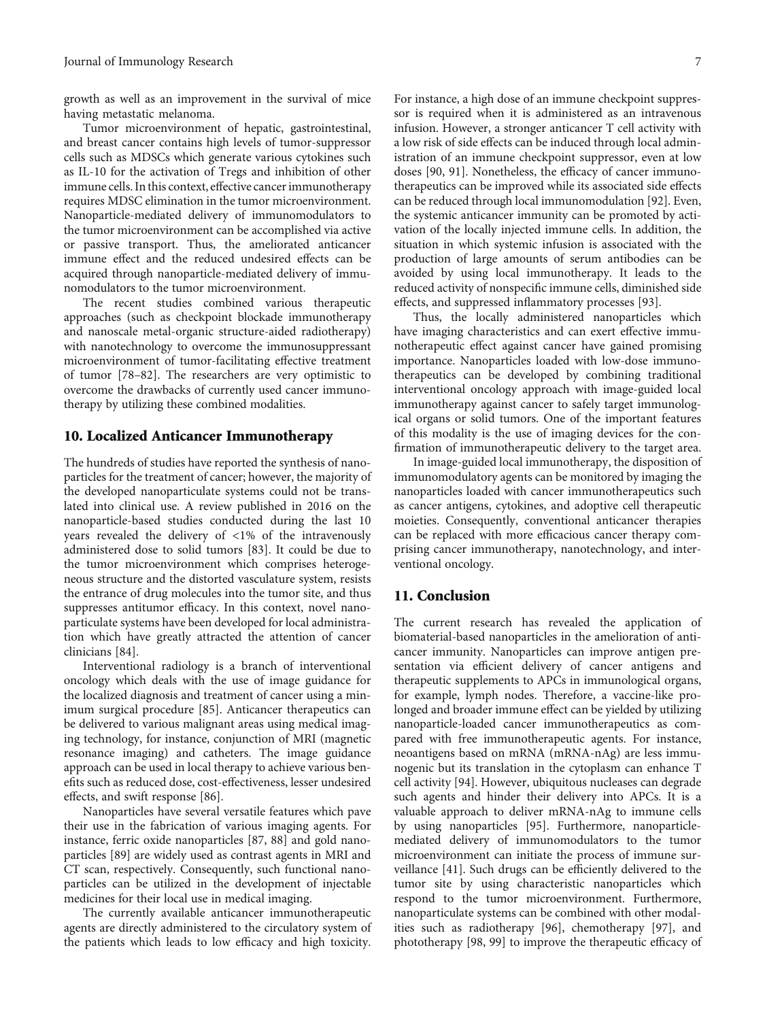growth as well as an improvement in the survival of mice having metastatic melanoma.

Tumor microenvironment of hepatic, gastrointestinal, and breast cancer contains high levels of tumor-suppressor cells such as MDSCs which generate various cytokines such as IL-10 for the activation of Tregs and inhibition of other immune cells. In this context, effective cancer immunotherapy requires MDSC elimination in the tumor microenvironment. Nanoparticle-mediated delivery of immunomodulators to the tumor microenvironment can be accomplished via active or passive transport. Thus, the ameliorated anticancer immune effect and the reduced undesired effects can be acquired through nanoparticle-mediated delivery of immunomodulators to the tumor microenvironment.

The recent studies combined various therapeutic approaches (such as checkpoint blockade immunotherapy and nanoscale metal-organic structure-aided radiotherapy) with nanotechnology to overcome the immunosuppressant microenvironment of tumor-facilitating effective treatment of tumor [[78](#page-9-0)–[82\]](#page-9-0). The researchers are very optimistic to overcome the drawbacks of currently used cancer immunotherapy by utilizing these combined modalities.

#### 10. Localized Anticancer Immunotherapy

The hundreds of studies have reported the synthesis of nanoparticles for the treatment of cancer; however, the majority of the developed nanoparticulate systems could not be translated into clinical use. A review published in 2016 on the nanoparticle-based studies conducted during the last 10 years revealed the delivery of <1% of the intravenously administered dose to solid tumors [\[83](#page-10-0)]. It could be due to the tumor microenvironment which comprises heterogeneous structure and the distorted vasculature system, resists the entrance of drug molecules into the tumor site, and thus suppresses antitumor efficacy. In this context, novel nanoparticulate systems have been developed for local administration which have greatly attracted the attention of cancer clinicians [[84](#page-10-0)].

Interventional radiology is a branch of interventional oncology which deals with the use of image guidance for the localized diagnosis and treatment of cancer using a minimum surgical procedure [\[85\]](#page-10-0). Anticancer therapeutics can be delivered to various malignant areas using medical imaging technology, for instance, conjunction of MRI (magnetic resonance imaging) and catheters. The image guidance approach can be used in local therapy to achieve various benefits such as reduced dose, cost-effectiveness, lesser undesired effects, and swift response [\[86\]](#page-10-0).

Nanoparticles have several versatile features which pave their use in the fabrication of various imaging agents. For instance, ferric oxide nanoparticles [[87](#page-10-0), [88](#page-10-0)] and gold nanoparticles [[89](#page-10-0)] are widely used as contrast agents in MRI and CT scan, respectively. Consequently, such functional nanoparticles can be utilized in the development of injectable medicines for their local use in medical imaging.

The currently available anticancer immunotherapeutic agents are directly administered to the circulatory system of the patients which leads to low efficacy and high toxicity. For instance, a high dose of an immune checkpoint suppressor is required when it is administered as an intravenous infusion. However, a stronger anticancer T cell activity with a low risk of side effects can be induced through local administration of an immune checkpoint suppressor, even at low doses [\[90, 91\]](#page-10-0). Nonetheless, the efficacy of cancer immunotherapeutics can be improved while its associated side effects can be reduced through local immunomodulation [[92](#page-10-0)]. Even, the systemic anticancer immunity can be promoted by activation of the locally injected immune cells. In addition, the situation in which systemic infusion is associated with the production of large amounts of serum antibodies can be avoided by using local immunotherapy. It leads to the reduced activity of nonspecific immune cells, diminished side effects, and suppressed inflammatory processes [[93](#page-10-0)].

Thus, the locally administered nanoparticles which have imaging characteristics and can exert effective immunotherapeutic effect against cancer have gained promising importance. Nanoparticles loaded with low-dose immunotherapeutics can be developed by combining traditional interventional oncology approach with image-guided local immunotherapy against cancer to safely target immunological organs or solid tumors. One of the important features of this modality is the use of imaging devices for the confirmation of immunotherapeutic delivery to the target area.

In image-guided local immunotherapy, the disposition of immunomodulatory agents can be monitored by imaging the nanoparticles loaded with cancer immunotherapeutics such as cancer antigens, cytokines, and adoptive cell therapeutic moieties. Consequently, conventional anticancer therapies can be replaced with more efficacious cancer therapy comprising cancer immunotherapy, nanotechnology, and interventional oncology.

#### 11. Conclusion

The current research has revealed the application of biomaterial-based nanoparticles in the amelioration of anticancer immunity. Nanoparticles can improve antigen presentation via efficient delivery of cancer antigens and therapeutic supplements to APCs in immunological organs, for example, lymph nodes. Therefore, a vaccine-like prolonged and broader immune effect can be yielded by utilizing nanoparticle-loaded cancer immunotherapeutics as compared with free immunotherapeutic agents. For instance, neoantigens based on mRNA (mRNA-nAg) are less immunogenic but its translation in the cytoplasm can enhance T cell activity [\[94](#page-10-0)]. However, ubiquitous nucleases can degrade such agents and hinder their delivery into APCs. It is a valuable approach to deliver mRNA-nAg to immune cells by using nanoparticles [[95](#page-10-0)]. Furthermore, nanoparticlemediated delivery of immunomodulators to the tumor microenvironment can initiate the process of immune surveillance [\[41\]](#page-8-0). Such drugs can be efficiently delivered to the tumor site by using characteristic nanoparticles which respond to the tumor microenvironment. Furthermore, nanoparticulate systems can be combined with other modalities such as radiotherapy [[96](#page-10-0)], chemotherapy [\[97\]](#page-10-0), and phototherapy [\[98, 99](#page-10-0)] to improve the therapeutic efficacy of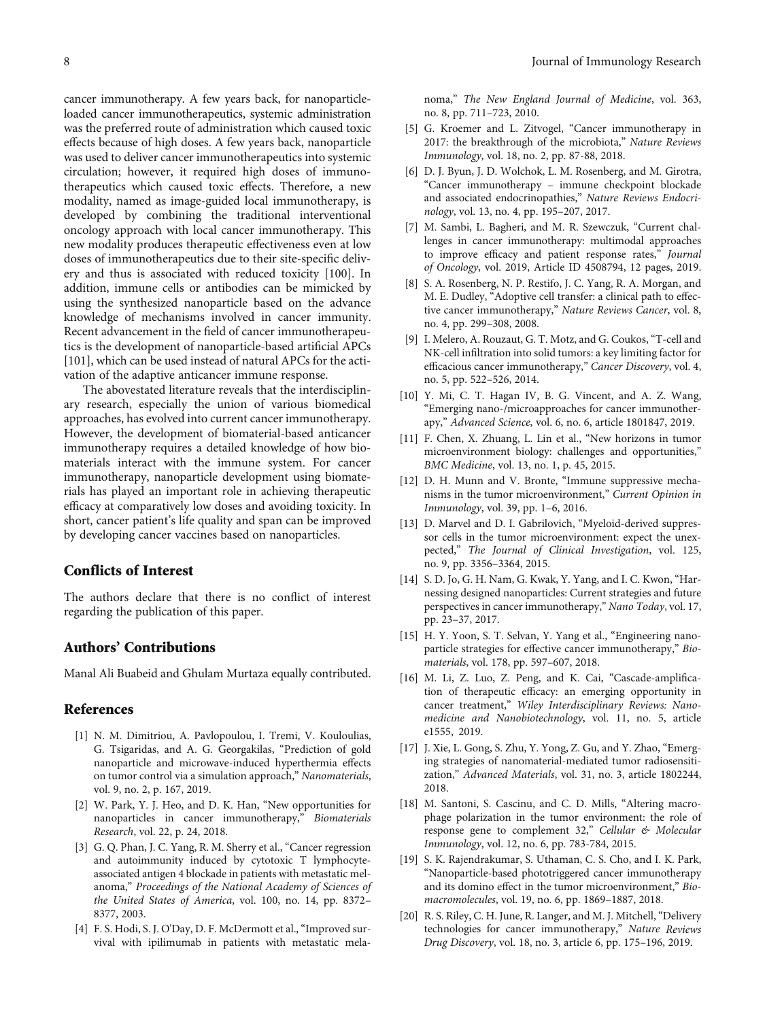<span id="page-7-0"></span>cancer immunotherapy. A few years back, for nanoparticleloaded cancer immunotherapeutics, systemic administration was the preferred route of administration which caused toxic effects because of high doses. A few years back, nanoparticle was used to deliver cancer immunotherapeutics into systemic circulation; however, it required high doses of immunotherapeutics which caused toxic effects. Therefore, a new modality, named as image-guided local immunotherapy, is developed by combining the traditional interventional oncology approach with local cancer immunotherapy. This new modality produces therapeutic effectiveness even at low doses of immunotherapeutics due to their site-specific delivery and thus is associated with reduced toxicity [[100](#page-10-0)]. In addition, immune cells or antibodies can be mimicked by using the synthesized nanoparticle based on the advance knowledge of mechanisms involved in cancer immunity. Recent advancement in the field of cancer immunotherapeutics is the development of nanoparticle-based artificial APCs [\[101\]](#page-10-0), which can be used instead of natural APCs for the activation of the adaptive anticancer immune response.

The abovestated literature reveals that the interdisciplinary research, especially the union of various biomedical approaches, has evolved into current cancer immunotherapy. However, the development of biomaterial-based anticancer immunotherapy requires a detailed knowledge of how biomaterials interact with the immune system. For cancer immunotherapy, nanoparticle development using biomaterials has played an important role in achieving therapeutic efficacy at comparatively low doses and avoiding toxicity. In short, cancer patient's life quality and span can be improved by developing cancer vaccines based on nanoparticles.

#### Conflicts of Interest

The authors declare that there is no conflict of interest regarding the publication of this paper.

#### Authors' Contributions

Manal Ali Buabeid and Ghulam Murtaza equally contributed.

#### References

- [1] N. M. Dimitriou, A. Pavlopoulou, I. Tremi, V. Kouloulias, G. Tsigaridas, and A. G. Georgakilas, "Prediction of gold nanoparticle and microwave-induced hyperthermia effects on tumor control via a simulation approach," Nanomaterials, vol. 9, no. 2, p. 167, 2019.
- [2] W. Park, Y. J. Heo, and D. K. Han, "New opportunities for nanoparticles in cancer immunotherapy," Biomaterials Research, vol. 22, p. 24, 2018.
- [3] G. Q. Phan, J. C. Yang, R. M. Sherry et al., "Cancer regression and autoimmunity induced by cytotoxic T lymphocyteassociated antigen 4 blockade in patients with metastatic melanoma," Proceedings of the National Academy of Sciences of the United States of America, vol. 100, no. 14, pp. 8372– 8377, 2003.
- [4] F. S. Hodi, S. J. O'Day, D. F. McDermott et al., "Improved survival with ipilimumab in patients with metastatic mela-

noma," The New England Journal of Medicine, vol. 363, no. 8, pp. 711–723, 2010.

- [5] G. Kroemer and L. Zitvogel, "Cancer immunotherapy in 2017: the breakthrough of the microbiota," Nature Reviews Immunology, vol. 18, no. 2, pp. 87-88, 2018.
- [6] D. J. Byun, J. D. Wolchok, L. M. Rosenberg, and M. Girotra, "Cancer immunotherapy – immune checkpoint blockade and associated endocrinopathies," Nature Reviews Endocrinology, vol. 13, no. 4, pp. 195–207, 2017.
- [7] M. Sambi, L. Bagheri, and M. R. Szewczuk, "Current challenges in cancer immunotherapy: multimodal approaches to improve efficacy and patient response rates," Journal of Oncology, vol. 2019, Article ID 4508794, 12 pages, 2019.
- [8] S. A. Rosenberg, N. P. Restifo, J. C. Yang, R. A. Morgan, and M. E. Dudley, "Adoptive cell transfer: a clinical path to effective cancer immunotherapy," Nature Reviews Cancer, vol. 8, no. 4, pp. 299–308, 2008.
- [9] I. Melero, A. Rouzaut, G. T. Motz, and G. Coukos, "T-cell and NK-cell infiltration into solid tumors: a key limiting factor for efficacious cancer immunotherapy," Cancer Discovery, vol. 4, no. 5, pp. 522–526, 2014.
- [10] Y. Mi, C. T. Hagan IV, B. G. Vincent, and A. Z. Wang, "Emerging nano-/microapproaches for cancer immunotherapy," Advanced Science, vol. 6, no. 6, article 1801847, 2019.
- [11] F. Chen, X. Zhuang, L. Lin et al., "New horizons in tumor microenvironment biology: challenges and opportunities," BMC Medicine, vol. 13, no. 1, p. 45, 2015.
- [12] D. H. Munn and V. Bronte, "Immune suppressive mechanisms in the tumor microenvironment," Current Opinion in Immunology, vol. 39, pp. 1–6, 2016.
- [13] D. Marvel and D. I. Gabrilovich, "Myeloid-derived suppressor cells in the tumor microenvironment: expect the unexpected," The Journal of Clinical Investigation, vol. 125, no. 9, pp. 3356–3364, 2015.
- [14] S. D. Jo, G. H. Nam, G. Kwak, Y. Yang, and I. C. Kwon, "Harnessing designed nanoparticles: Current strategies and future perspectives in cancer immunotherapy," Nano Today, vol. 17, pp. 23–37, 2017.
- [15] H. Y. Yoon, S. T. Selvan, Y. Yang et al., "Engineering nanoparticle strategies for effective cancer immunotherapy," Biomaterials, vol. 178, pp. 597–607, 2018.
- [16] M. Li, Z. Luo, Z. Peng, and K. Cai, "Cascade-amplification of therapeutic efficacy: an emerging opportunity in cancer treatment," Wiley Interdisciplinary Reviews: Nanomedicine and Nanobiotechnology, vol. 11, no. 5, article e1555, 2019.
- [17] J. Xie, L. Gong, S. Zhu, Y. Yong, Z. Gu, and Y. Zhao, "Emerging strategies of nanomaterial-mediated tumor radiosensitization," Advanced Materials, vol. 31, no. 3, article 1802244, 2018.
- [18] M. Santoni, S. Cascinu, and C. D. Mills, "Altering macrophage polarization in the tumor environment: the role of response gene to complement 32," Cellular & Molecular Immunology, vol. 12, no. 6, pp. 783-784, 2015.
- [19] S. K. Rajendrakumar, S. Uthaman, C. S. Cho, and I. K. Park, "Nanoparticle-based phototriggered cancer immunotherapy and its domino effect in the tumor microenvironment," Biomacromolecules, vol. 19, no. 6, pp. 1869–1887, 2018.
- [20] R. S. Riley, C. H. June, R. Langer, and M. J. Mitchell, "Delivery technologies for cancer immunotherapy," Nature Reviews Drug Discovery, vol. 18, no. 3, article 6, pp. 175–196, 2019.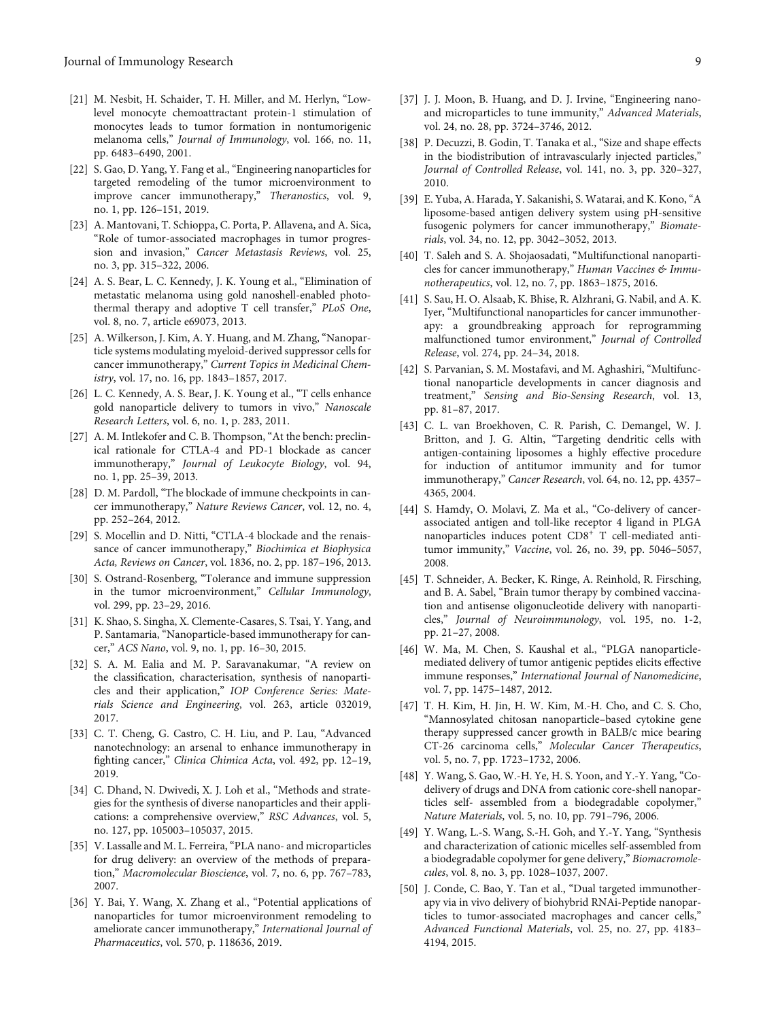- <span id="page-8-0"></span>[21] M. Nesbit, H. Schaider, T. H. Miller, and M. Herlyn, "Lowlevel monocyte chemoattractant protein-1 stimulation of monocytes leads to tumor formation in nontumorigenic melanoma cells," Journal of Immunology, vol. 166, no. 11, pp. 6483–6490, 2001.
- [22] S. Gao, D. Yang, Y. Fang et al., "Engineering nanoparticles for targeted remodeling of the tumor microenvironment to improve cancer immunotherapy," Theranostics, vol. 9, no. 1, pp. 126–151, 2019.
- [23] A. Mantovani, T. Schioppa, C. Porta, P. Allavena, and A. Sica, "Role of tumor-associated macrophages in tumor progression and invasion," Cancer Metastasis Reviews, vol. 25, no. 3, pp. 315–322, 2006.
- [24] A. S. Bear, L. C. Kennedy, J. K. Young et al., "Elimination of metastatic melanoma using gold nanoshell-enabled photothermal therapy and adoptive T cell transfer," PLoS One, vol. 8, no. 7, article e69073, 2013.
- [25] A. Wilkerson, J. Kim, A. Y. Huang, and M. Zhang, "Nanoparticle systems modulating myeloid-derived suppressor cells for cancer immunotherapy," Current Topics in Medicinal Chemistry, vol. 17, no. 16, pp. 1843–1857, 2017.
- [26] L. C. Kennedy, A. S. Bear, J. K. Young et al., "T cells enhance gold nanoparticle delivery to tumors in vivo," Nanoscale Research Letters, vol. 6, no. 1, p. 283, 2011.
- [27] A. M. Intlekofer and C. B. Thompson, "At the bench: preclinical rationale for CTLA-4 and PD-1 blockade as cancer immunotherapy," Journal of Leukocyte Biology, vol. 94, no. 1, pp. 25–39, 2013.
- [28] D. M. Pardoll, "The blockade of immune checkpoints in cancer immunotherapy," Nature Reviews Cancer, vol. 12, no. 4, pp. 252–264, 2012.
- [29] S. Mocellin and D. Nitti, "CTLA-4 blockade and the renaissance of cancer immunotherapy," Biochimica et Biophysica Acta, Reviews on Cancer, vol. 1836, no. 2, pp. 187–196, 2013.
- [30] S. Ostrand-Rosenberg, "Tolerance and immune suppression in the tumor microenvironment," Cellular Immunology, vol. 299, pp. 23–29, 2016.
- [31] K. Shao, S. Singha, X. Clemente-Casares, S. Tsai, Y. Yang, and P. Santamaria, "Nanoparticle-based immunotherapy for cancer," ACS Nano, vol. 9, no. 1, pp. 16–30, 2015.
- [32] S. A. M. Ealia and M. P. Saravanakumar, "A review on the classification, characterisation, synthesis of nanoparticles and their application," IOP Conference Series: Materials Science and Engineering, vol. 263, article 032019, 2017.
- [33] C. T. Cheng, G. Castro, C. H. Liu, and P. Lau, "Advanced nanotechnology: an arsenal to enhance immunotherapy in fighting cancer," Clinica Chimica Acta, vol. 492, pp. 12–19, 2019.
- [34] C. Dhand, N. Dwivedi, X. J. Loh et al., "Methods and strategies for the synthesis of diverse nanoparticles and their applications: a comprehensive overview," RSC Advances, vol. 5, no. 127, pp. 105003–105037, 2015.
- [35] V. Lassalle and M. L. Ferreira, "PLA nano- and microparticles for drug delivery: an overview of the methods of preparation," Macromolecular Bioscience, vol. 7, no. 6, pp. 767–783, 2007.
- [36] Y. Bai, Y. Wang, X. Zhang et al., "Potential applications of nanoparticles for tumor microenvironment remodeling to ameliorate cancer immunotherapy," International Journal of Pharmaceutics, vol. 570, p. 118636, 2019.
- 
- [37] J. J. Moon, B. Huang, and D. J. Irvine, "Engineering nanoand microparticles to tune immunity," Advanced Materials, vol. 24, no. 28, pp. 3724–3746, 2012.
- [38] P. Decuzzi, B. Godin, T. Tanaka et al., "Size and shape effects in the biodistribution of intravascularly injected particles," Journal of Controlled Release, vol. 141, no. 3, pp. 320–327, 2010.
- [39] E. Yuba, A. Harada, Y. Sakanishi, S. Watarai, and K. Kono,"A liposome-based antigen delivery system using pH-sensitive fusogenic polymers for cancer immunotherapy," Biomaterials, vol. 34, no. 12, pp. 3042–3052, 2013.
- [40] T. Saleh and S. A. Shojaosadati, "Multifunctional nanoparticles for cancer immunotherapy," Human Vaccines & Immunotherapeutics, vol. 12, no. 7, pp. 1863–1875, 2016.
- [41] S. Sau, H. O. Alsaab, K. Bhise, R. Alzhrani, G. Nabil, and A. K. Iyer, "Multifunctional nanoparticles for cancer immunotherapy: a groundbreaking approach for reprogramming malfunctioned tumor environment," Journal of Controlled Release, vol. 274, pp. 24–34, 2018.
- [42] S. Parvanian, S. M. Mostafavi, and M. Aghashiri, "Multifunctional nanoparticle developments in cancer diagnosis and treatment," Sensing and Bio-Sensing Research, vol. 13, pp. 81–87, 2017.
- [43] C. L. van Broekhoven, C. R. Parish, C. Demangel, W. J. Britton, and J. G. Altin, "Targeting dendritic cells with antigen-containing liposomes a highly effective procedure for induction of antitumor immunity and for tumor immunotherapy," Cancer Research, vol. 64, no. 12, pp. 4357– 4365, 2004.
- [44] S. Hamdy, O. Molavi, Z. Ma et al., "Co-delivery of cancerassociated antigen and toll-like receptor 4 ligand in PLGA nanoparticles induces potent CD8<sup>+</sup> T cell-mediated antitumor immunity," Vaccine, vol. 26, no. 39, pp. 5046–5057, 2008.
- [45] T. Schneider, A. Becker, K. Ringe, A. Reinhold, R. Firsching, and B. A. Sabel, "Brain tumor therapy by combined vaccination and antisense oligonucleotide delivery with nanoparticles," Journal of Neuroimmunology, vol. 195, no. 1-2, pp. 21–27, 2008.
- [46] W. Ma, M. Chen, S. Kaushal et al., "PLGA nanoparticlemediated delivery of tumor antigenic peptides elicits effective immune responses," International Journal of Nanomedicine, vol. 7, pp. 1475–1487, 2012.
- [47] T. H. Kim, H. Jin, H. W. Kim, M.-H. Cho, and C. S. Cho, "Mannosylated chitosan nanoparticle–based cytokine gene therapy suppressed cancer growth in BALB/c mice bearing CT-26 carcinoma cells," Molecular Cancer Therapeutics, vol. 5, no. 7, pp. 1723–1732, 2006.
- [48] Y. Wang, S. Gao, W.-H. Ye, H. S. Yoon, and Y.-Y. Yang, "Codelivery of drugs and DNA from cationic core-shell nanoparticles self- assembled from a biodegradable copolymer," Nature Materials, vol. 5, no. 10, pp. 791–796, 2006.
- [49] Y. Wang, L.-S. Wang, S.-H. Goh, and Y.-Y. Yang, "Synthesis and characterization of cationic micelles self-assembled from a biodegradable copolymer for gene delivery," Biomacromolecules, vol. 8, no. 3, pp. 1028–1037, 2007.
- [50] J. Conde, C. Bao, Y. Tan et al., "Dual targeted immunotherapy via in vivo delivery of biohybrid RNAi-Peptide nanoparticles to tumor-associated macrophages and cancer cells," Advanced Functional Materials, vol. 25, no. 27, pp. 4183– 4194, 2015.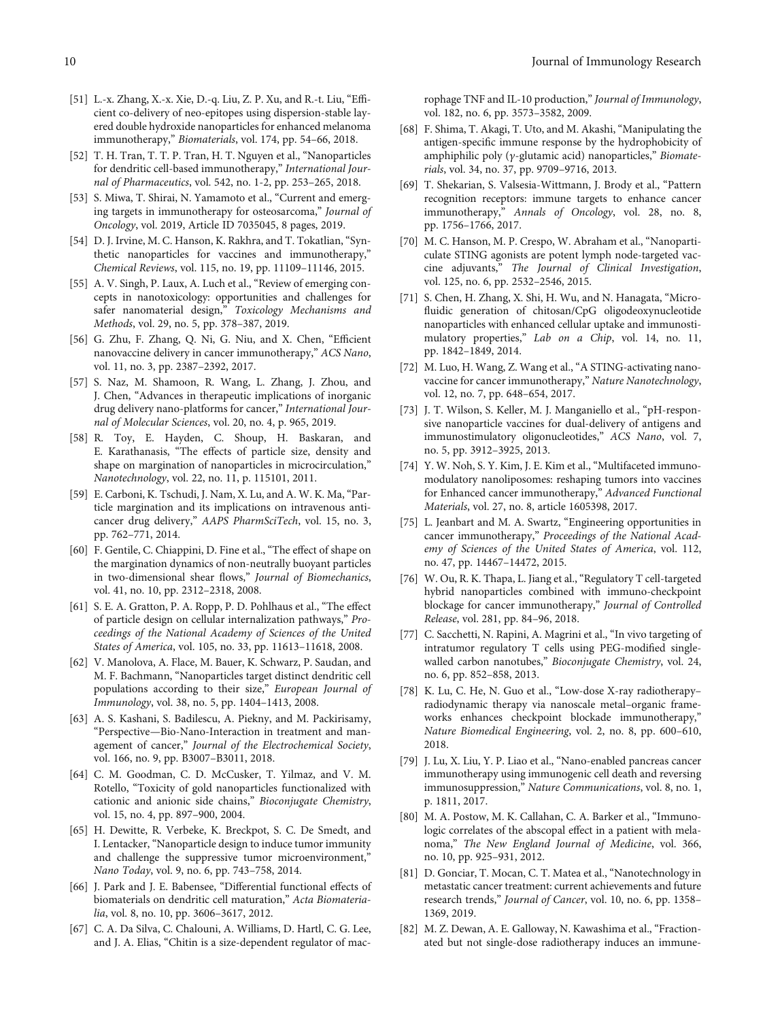- <span id="page-9-0"></span>[51] L.-x. Zhang, X.-x. Xie, D.-q. Liu, Z. P. Xu, and R.-t. Liu, "Efficient co-delivery of neo-epitopes using dispersion-stable layered double hydroxide nanoparticles for enhanced melanoma immunotherapy," Biomaterials, vol. 174, pp. 54–66, 2018.
- [52] T. H. Tran, T. T. P. Tran, H. T. Nguyen et al., "Nanoparticles for dendritic cell-based immunotherapy," International Journal of Pharmaceutics, vol. 542, no. 1-2, pp. 253–265, 2018.
- [53] S. Miwa, T. Shirai, N. Yamamoto et al., "Current and emerging targets in immunotherapy for osteosarcoma," Journal of Oncology, vol. 2019, Article ID 7035045, 8 pages, 2019.
- [54] D. J. Irvine, M. C. Hanson, K. Rakhra, and T. Tokatlian, "Synthetic nanoparticles for vaccines and immunotherapy," Chemical Reviews, vol. 115, no. 19, pp. 11109–11146, 2015.
- [55] A. V. Singh, P. Laux, A. Luch et al., "Review of emerging concepts in nanotoxicology: opportunities and challenges for safer nanomaterial design," Toxicology Mechanisms and Methods, vol. 29, no. 5, pp. 378–387, 2019.
- [56] G. Zhu, F. Zhang, Q. Ni, G. Niu, and X. Chen, "Efficient nanovaccine delivery in cancer immunotherapy," ACS Nano, vol. 11, no. 3, pp. 2387–2392, 2017.
- [57] S. Naz, M. Shamoon, R. Wang, L. Zhang, J. Zhou, and J. Chen, "Advances in therapeutic implications of inorganic drug delivery nano-platforms for cancer," International Journal of Molecular Sciences, vol. 20, no. 4, p. 965, 2019.
- [58] R. Toy, E. Hayden, C. Shoup, H. Baskaran, and E. Karathanasis, "The effects of particle size, density and shape on margination of nanoparticles in microcirculation," Nanotechnology, vol. 22, no. 11, p. 115101, 2011.
- [59] E. Carboni, K. Tschudi, J. Nam, X. Lu, and A. W. K. Ma, "Particle margination and its implications on intravenous anticancer drug delivery," AAPS PharmSciTech, vol. 15, no. 3, pp. 762–771, 2014.
- [60] F. Gentile, C. Chiappini, D. Fine et al., "The effect of shape on the margination dynamics of non-neutrally buoyant particles in two-dimensional shear flows," Journal of Biomechanics, vol. 41, no. 10, pp. 2312–2318, 2008.
- [61] S. E. A. Gratton, P. A. Ropp, P. D. Pohlhaus et al., "The effect of particle design on cellular internalization pathways," Proceedings of the National Academy of Sciences of the United States of America, vol. 105, no. 33, pp. 11613–11618, 2008.
- [62] V. Manolova, A. Flace, M. Bauer, K. Schwarz, P. Saudan, and M. F. Bachmann, "Nanoparticles target distinct dendritic cell populations according to their size," European Journal of Immunology, vol. 38, no. 5, pp. 1404–1413, 2008.
- [63] A. S. Kashani, S. Badilescu, A. Piekny, and M. Packirisamy, "Perspective—Bio-Nano-Interaction in treatment and management of cancer," Journal of the Electrochemical Society, vol. 166, no. 9, pp. B3007–B3011, 2018.
- [64] C. M. Goodman, C. D. McCusker, T. Yilmaz, and V. M. Rotello, "Toxicity of gold nanoparticles functionalized with cationic and anionic side chains," Bioconjugate Chemistry, vol. 15, no. 4, pp. 897–900, 2004.
- [65] H. Dewitte, R. Verbeke, K. Breckpot, S. C. De Smedt, and I. Lentacker, "Nanoparticle design to induce tumor immunity and challenge the suppressive tumor microenvironment," Nano Today, vol. 9, no. 6, pp. 743–758, 2014.
- [66] J. Park and J. E. Babensee, "Differential functional effects of biomaterials on dendritic cell maturation," Acta Biomaterialia, vol. 8, no. 10, pp. 3606–3617, 2012.
- [67] C. A. Da Silva, C. Chalouni, A. Williams, D. Hartl, C. G. Lee, and J. A. Elias, "Chitin is a size-dependent regulator of mac-

rophage TNF and IL-10 production," Journal of Immunology, vol. 182, no. 6, pp. 3573–3582, 2009.

- [68] F. Shima, T. Akagi, T. Uto, and M. Akashi, "Manipulating the antigen-specific immune response by the hydrophobicity of amphiphilic poly (*γ*-glutamic acid) nanoparticles," Biomaterials, vol. 34, no. 37, pp. 9709–9716, 2013.
- [69] T. Shekarian, S. Valsesia-Wittmann, J. Brody et al., "Pattern recognition receptors: immune targets to enhance cancer immunotherapy," Annals of Oncology, vol. 28, no. 8, pp. 1756–1766, 2017.
- [70] M. C. Hanson, M. P. Crespo, W. Abraham et al., "Nanoparticulate STING agonists are potent lymph node-targeted vaccine adjuvants," The Journal of Clinical Investigation, vol. 125, no. 6, pp. 2532–2546, 2015.
- [71] S. Chen, H. Zhang, X. Shi, H. Wu, and N. Hanagata, "Microfluidic generation of chitosan/CpG oligodeoxynucleotide nanoparticles with enhanced cellular uptake and immunostimulatory properties," Lab on a Chip, vol. 14, no. 11, pp. 1842–1849, 2014.
- [72] M. Luo, H. Wang, Z. Wang et al., "A STING-activating nanovaccine for cancer immunotherapy," Nature Nanotechnology, vol. 12, no. 7, pp. 648–654, 2017.
- [73] J. T. Wilson, S. Keller, M. J. Manganiello et al., "pH-responsive nanoparticle vaccines for dual-delivery of antigens and immunostimulatory oligonucleotides," ACS Nano, vol. 7, no. 5, pp. 3912–3925, 2013.
- [74] Y. W. Noh, S. Y. Kim, J. E. Kim et al., "Multifaceted immunomodulatory nanoliposomes: reshaping tumors into vaccines for Enhanced cancer immunotherapy," Advanced Functional Materials, vol. 27, no. 8, article 1605398, 2017.
- [75] L. Jeanbart and M. A. Swartz, "Engineering opportunities in cancer immunotherapy," Proceedings of the National Academy of Sciences of the United States of America, vol. 112, no. 47, pp. 14467–14472, 2015.
- [76] W. Ou, R. K. Thapa, L. Jiang et al., "Regulatory T cell-targeted hybrid nanoparticles combined with immuno-checkpoint blockage for cancer immunotherapy," Journal of Controlled Release, vol. 281, pp. 84–96, 2018.
- [77] C. Sacchetti, N. Rapini, A. Magrini et al., "In vivo targeting of intratumor regulatory T cells using PEG-modified singlewalled carbon nanotubes," Bioconjugate Chemistry, vol. 24, no. 6, pp. 852–858, 2013.
- [78] K. Lu, C. He, N. Guo et al., "Low-dose X-ray radiotherapy– radiodynamic therapy via nanoscale metal–organic frameworks enhances checkpoint blockade immunotherapy," Nature Biomedical Engineering, vol. 2, no. 8, pp. 600–610, 2018.
- [79] J. Lu, X. Liu, Y. P. Liao et al., "Nano-enabled pancreas cancer immunotherapy using immunogenic cell death and reversing immunosuppression," Nature Communications, vol. 8, no. 1, p. 1811, 2017.
- [80] M. A. Postow, M. K. Callahan, C. A. Barker et al., "Immunologic correlates of the abscopal effect in a patient with melanoma," The New England Journal of Medicine, vol. 366, no. 10, pp. 925–931, 2012.
- [81] D. Gonciar, T. Mocan, C. T. Matea et al., "Nanotechnology in metastatic cancer treatment: current achievements and future research trends," Journal of Cancer, vol. 10, no. 6, pp. 1358– 1369, 2019.
- [82] M. Z. Dewan, A. E. Galloway, N. Kawashima et al., "Fractionated but not single-dose radiotherapy induces an immune-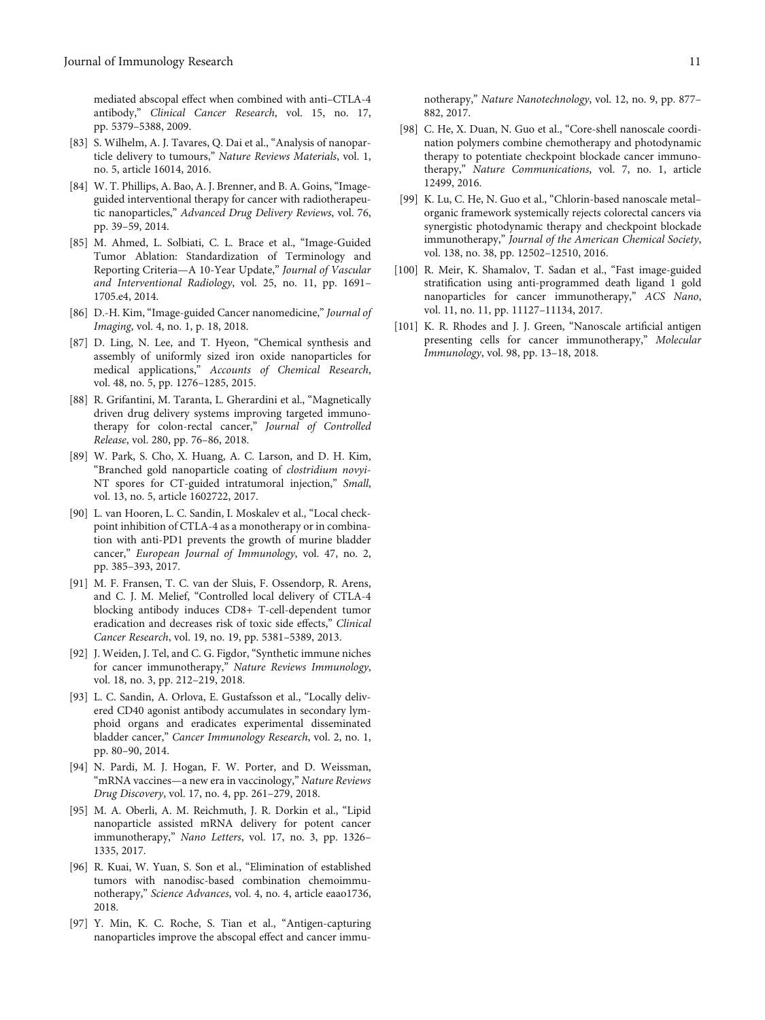<span id="page-10-0"></span>mediated abscopal effect when combined with anti–CTLA-4 antibody," Clinical Cancer Research, vol. 15, no. 17, pp. 5379–5388, 2009.

- [83] S. Wilhelm, A. J. Tavares, Q. Dai et al., "Analysis of nanoparticle delivery to tumours," Nature Reviews Materials, vol. 1, no. 5, article 16014, 2016.
- [84] W. T. Phillips, A. Bao, A. J. Brenner, and B. A. Goins, "Imageguided interventional therapy for cancer with radiotherapeutic nanoparticles," Advanced Drug Delivery Reviews, vol. 76, pp. 39–59, 2014.
- [85] M. Ahmed, L. Solbiati, C. L. Brace et al., "Image-Guided Tumor Ablation: Standardization of Terminology and Reporting Criteria—A 10-Year Update," Journal of Vascular and Interventional Radiology, vol. 25, no. 11, pp. 1691– 1705.e4, 2014.
- [86] D.-H. Kim, "Image-guided Cancer nanomedicine," Journal of Imaging, vol. 4, no. 1, p. 18, 2018.
- [87] D. Ling, N. Lee, and T. Hyeon, "Chemical synthesis and assembly of uniformly sized iron oxide nanoparticles for medical applications," Accounts of Chemical Research, vol. 48, no. 5, pp. 1276–1285, 2015.
- [88] R. Grifantini, M. Taranta, L. Gherardini et al., "Magnetically driven drug delivery systems improving targeted immunotherapy for colon-rectal cancer," Journal of Controlled Release, vol. 280, pp. 76–86, 2018.
- [89] W. Park, S. Cho, X. Huang, A. C. Larson, and D. H. Kim, "Branched gold nanoparticle coating of clostridium novyi-NT spores for CT-guided intratumoral injection," Small, vol. 13, no. 5, article 1602722, 2017.
- [90] L. van Hooren, L. C. Sandin, I. Moskalev et al., "Local checkpoint inhibition of CTLA-4 as a monotherapy or in combination with anti-PD1 prevents the growth of murine bladder cancer," European Journal of Immunology, vol. 47, no. 2, pp. 385–393, 2017.
- [91] M. F. Fransen, T. C. van der Sluis, F. Ossendorp, R. Arens, and C. J. M. Melief, "Controlled local delivery of CTLA-4 blocking antibody induces CD8+ T-cell-dependent tumor eradication and decreases risk of toxic side effects," Clinical Cancer Research, vol. 19, no. 19, pp. 5381–5389, 2013.
- [92] J. Weiden, J. Tel, and C. G. Figdor, "Synthetic immune niches for cancer immunotherapy," Nature Reviews Immunology, vol. 18, no. 3, pp. 212–219, 2018.
- [93] L. C. Sandin, A. Orlova, E. Gustafsson et al., "Locally delivered CD40 agonist antibody accumulates in secondary lymphoid organs and eradicates experimental disseminated bladder cancer," Cancer Immunology Research, vol. 2, no. 1, pp. 80–90, 2014.
- [94] N. Pardi, M. J. Hogan, F. W. Porter, and D. Weissman, "mRNA vaccines—a new era in vaccinology," Nature Reviews Drug Discovery, vol. 17, no. 4, pp. 261–279, 2018.
- [95] M. A. Oberli, A. M. Reichmuth, J. R. Dorkin et al., "Lipid nanoparticle assisted mRNA delivery for potent cancer immunotherapy," Nano Letters, vol. 17, no. 3, pp. 1326– 1335, 2017.
- [96] R. Kuai, W. Yuan, S. Son et al., "Elimination of established tumors with nanodisc-based combination chemoimmunotherapy," Science Advances, vol. 4, no. 4, article eaao1736, 2018.
- [97] Y. Min, K. C. Roche, S. Tian et al., "Antigen-capturing nanoparticles improve the abscopal effect and cancer immu-

notherapy," Nature Nanotechnology, vol. 12, no. 9, pp. 877– 882, 2017.

- [98] C. He, X. Duan, N. Guo et al., "Core-shell nanoscale coordination polymers combine chemotherapy and photodynamic therapy to potentiate checkpoint blockade cancer immunotherapy," Nature Communications, vol. 7, no. 1, article 12499, 2016.
- [99] K. Lu, C. He, N. Guo et al., "Chlorin-based nanoscale metal– organic framework systemically rejects colorectal cancers via synergistic photodynamic therapy and checkpoint blockade immunotherapy," Journal of the American Chemical Society, vol. 138, no. 38, pp. 12502–12510, 2016.
- [100] R. Meir, K. Shamalov, T. Sadan et al., "Fast image-guided stratification using anti-programmed death ligand 1 gold nanoparticles for cancer immunotherapy," ACS Nano, vol. 11, no. 11, pp. 11127–11134, 2017.
- [101] K. R. Rhodes and J. J. Green, "Nanoscale artificial antigen presenting cells for cancer immunotherapy," Molecular Immunology, vol. 98, pp. 13–18, 2018.